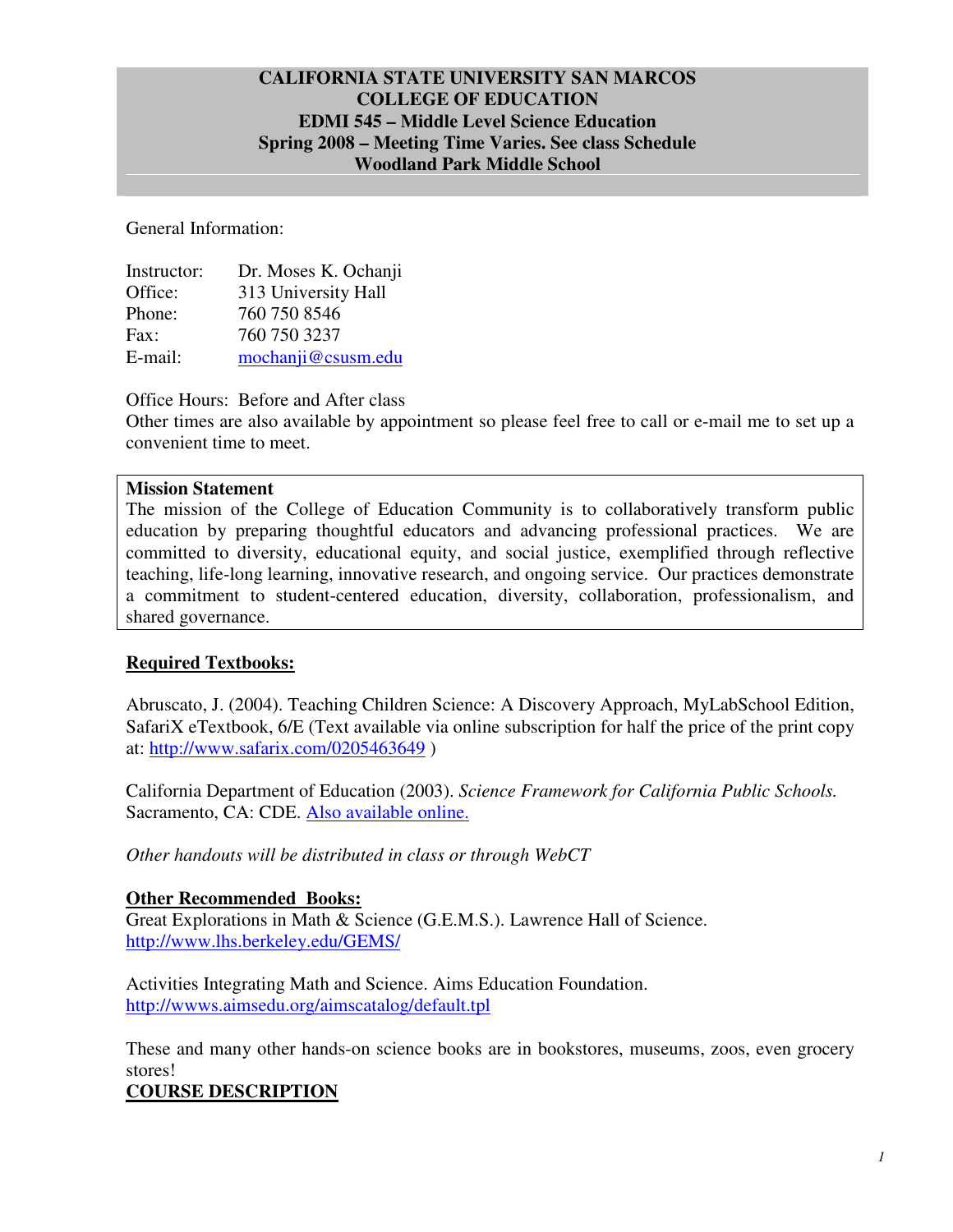## **CALIFORNIA STATE UNIVERSITY SAN MARCOS COLLEGE OF EDUCATION EDMI 545 – Middle Level Science Education Spring 2008 – Meeting Time Varies. See class Schedule Woodland Park Middle School**

General Information:

| Instructor: | Dr. Moses K. Ochanji |
|-------------|----------------------|
| Office:     | 313 University Hall  |
| Phone:      | 760 750 8546         |
| Fax:        | 760 750 3237         |
| E-mail:     | mochanji@csusm.edu   |

Office Hours: Before and After class

Other times are also available by appointment so please feel free to call or e-mail me to set up a convenient time to meet.

#### **Mission Statement**

The mission of the College of Education Community is to collaboratively transform public education by preparing thoughtful educators and advancing professional practices. We are committed to diversity, educational equity, and social justice, exemplified through reflective teaching, life-long learning, innovative research, and ongoing service. Our practices demonstrate a commitment to student-centered education, diversity, collaboration, professionalism, and shared governance.

#### **Required Textbooks:**

Abruscato, J. (2004). Teaching Children Science: A Discovery Approach, MyLabSchool Edition, SafariX eTextbook, 6/E (Text available via online subscription for half the price of the print copy at: http://www.safarix.com/0205463649 )

California Department of Education (2003). *Science Framework for California Public Schools.* Sacramento, CA: CDE. Also available online.

*Other handouts will be distributed in class or through WebCT* 

#### **Other Recommended Books:**

Great Explorations in Math & Science (G.E.M.S.). Lawrence Hall of Science. http://www.lhs.berkeley.edu/GEMS/

Activities Integrating Math and Science. Aims Education Foundation. http://wwws.aimsedu.org/aimscatalog/default.tpl

These and many other hands-on science books are in bookstores, museums, zoos, even grocery stores!

**COURSE DESCRIPTION**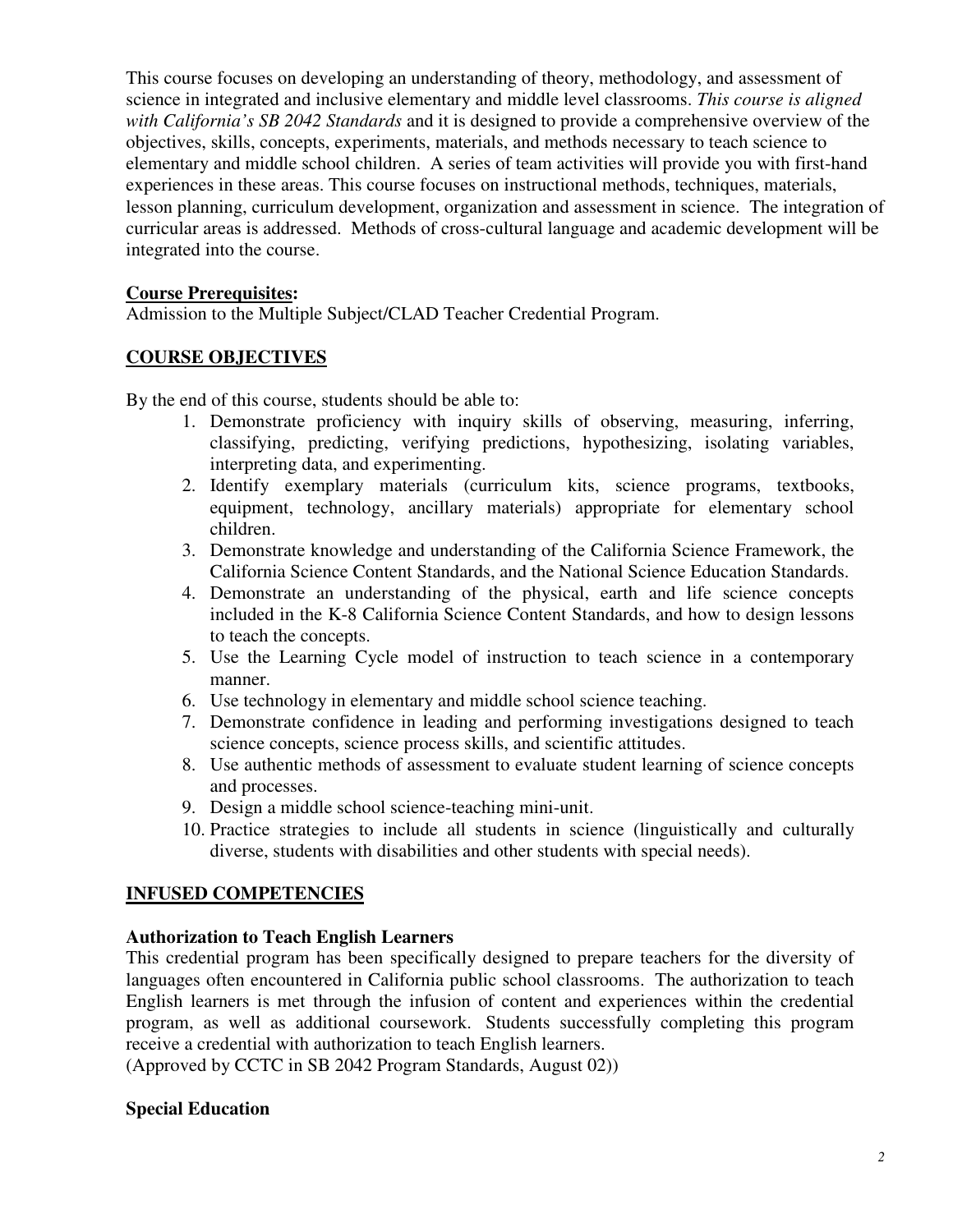This course focuses on developing an understanding of theory, methodology, and assessment of science in integrated and inclusive elementary and middle level classrooms. *This course is aligned with California's SB 2042 Standards* and it is designed to provide a comprehensive overview of the objectives, skills, concepts, experiments, materials, and methods necessary to teach science to elementary and middle school children. A series of team activities will provide you with first-hand experiences in these areas. This course focuses on instructional methods, techniques, materials, lesson planning, curriculum development, organization and assessment in science. The integration of curricular areas is addressed. Methods of cross-cultural language and academic development will be integrated into the course.

#### **Course Prerequisites:**

Admission to the Multiple Subject/CLAD Teacher Credential Program.

#### **COURSE OBJECTIVES**

By the end of this course, students should be able to:

- 1. Demonstrate proficiency with inquiry skills of observing, measuring, inferring, classifying, predicting, verifying predictions, hypothesizing, isolating variables, interpreting data, and experimenting.
- 2. Identify exemplary materials (curriculum kits, science programs, textbooks, equipment, technology, ancillary materials) appropriate for elementary school children.
- 3. Demonstrate knowledge and understanding of the California Science Framework, the California Science Content Standards, and the National Science Education Standards.
- 4. Demonstrate an understanding of the physical, earth and life science concepts included in the K-8 California Science Content Standards, and how to design lessons to teach the concepts.
- 5. Use the Learning Cycle model of instruction to teach science in a contemporary manner.
- 6. Use technology in elementary and middle school science teaching.
- 7. Demonstrate confidence in leading and performing investigations designed to teach science concepts, science process skills, and scientific attitudes.
- 8. Use authentic methods of assessment to evaluate student learning of science concepts and processes.
- 9. Design a middle school science-teaching mini-unit.
- 10. Practice strategies to include all students in science (linguistically and culturally diverse, students with disabilities and other students with special needs).

## **INFUSED COMPETENCIES**

#### **Authorization to Teach English Learners**

This credential program has been specifically designed to prepare teachers for the diversity of languages often encountered in California public school classrooms. The authorization to teach English learners is met through the infusion of content and experiences within the credential program, as well as additional coursework. Students successfully completing this program receive a credential with authorization to teach English learners.

(Approved by CCTC in SB 2042 Program Standards, August 02))

#### **Special Education**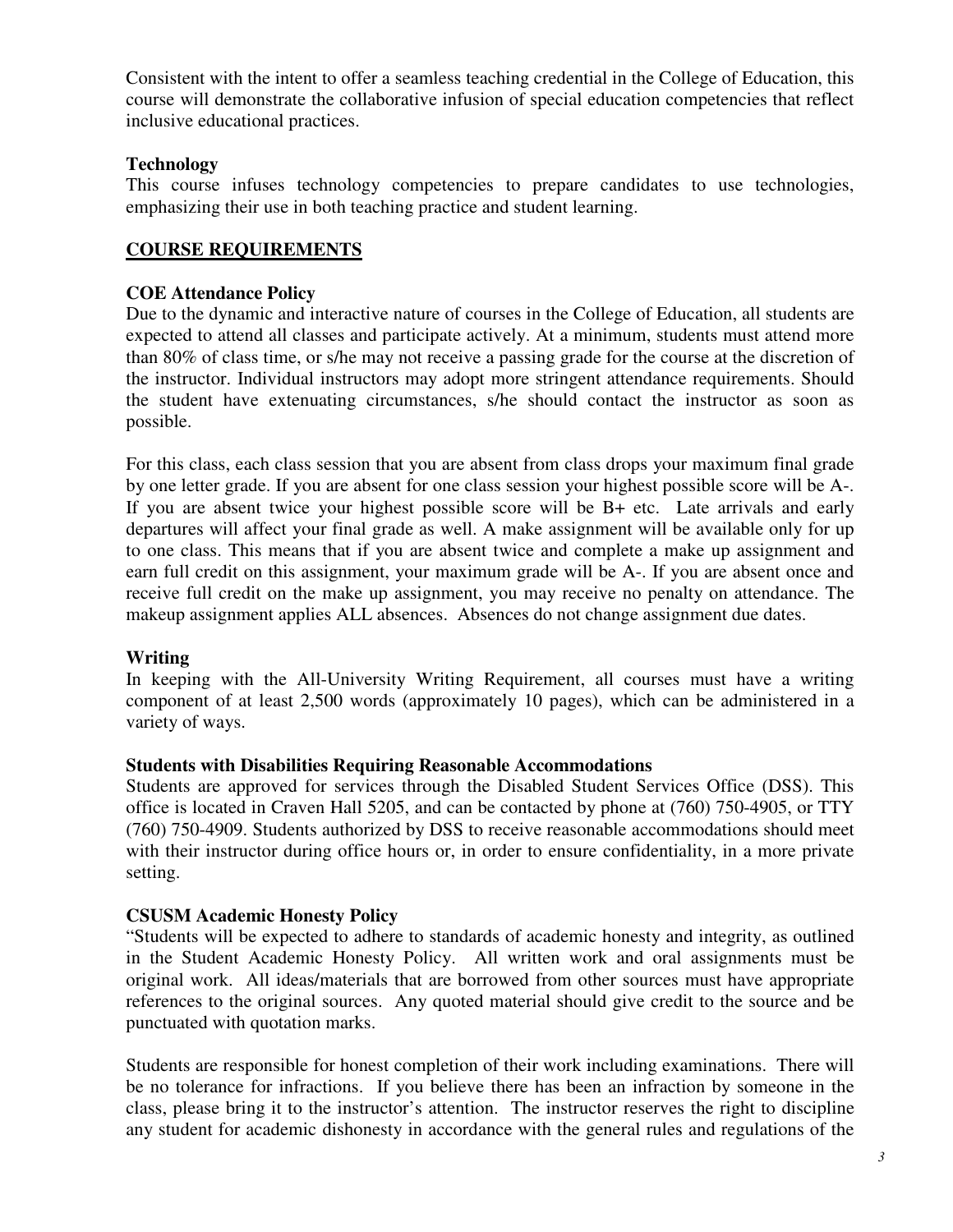Consistent with the intent to offer a seamless teaching credential in the College of Education, this course will demonstrate the collaborative infusion of special education competencies that reflect inclusive educational practices.

## **Technology**

This course infuses technology competencies to prepare candidates to use technologies, emphasizing their use in both teaching practice and student learning.

## **COURSE REQUIREMENTS**

#### **COE Attendance Policy**

Due to the dynamic and interactive nature of courses in the College of Education, all students are expected to attend all classes and participate actively. At a minimum, students must attend more than 80% of class time, or s/he may not receive a passing grade for the course at the discretion of the instructor. Individual instructors may adopt more stringent attendance requirements. Should the student have extenuating circumstances, s/he should contact the instructor as soon as possible.

For this class, each class session that you are absent from class drops your maximum final grade by one letter grade. If you are absent for one class session your highest possible score will be A-. If you are absent twice your highest possible score will be B+ etc. Late arrivals and early departures will affect your final grade as well. A make assignment will be available only for up to one class. This means that if you are absent twice and complete a make up assignment and earn full credit on this assignment, your maximum grade will be A-. If you are absent once and receive full credit on the make up assignment, you may receive no penalty on attendance. The makeup assignment applies ALL absences. Absences do not change assignment due dates.

#### **Writing**

In keeping with the All-University Writing Requirement, all courses must have a writing component of at least 2,500 words (approximately 10 pages), which can be administered in a variety of ways.

#### **Students with Disabilities Requiring Reasonable Accommodations**

Students are approved for services through the Disabled Student Services Office (DSS). This office is located in Craven Hall 5205, and can be contacted by phone at (760) 750-4905, or TTY (760) 750-4909. Students authorized by DSS to receive reasonable accommodations should meet with their instructor during office hours or, in order to ensure confidentiality, in a more private setting.

## **CSUSM Academic Honesty Policy**

"Students will be expected to adhere to standards of academic honesty and integrity, as outlined in the Student Academic Honesty Policy. All written work and oral assignments must be original work. All ideas/materials that are borrowed from other sources must have appropriate references to the original sources. Any quoted material should give credit to the source and be punctuated with quotation marks.

Students are responsible for honest completion of their work including examinations. There will be no tolerance for infractions. If you believe there has been an infraction by someone in the class, please bring it to the instructor's attention. The instructor reserves the right to discipline any student for academic dishonesty in accordance with the general rules and regulations of the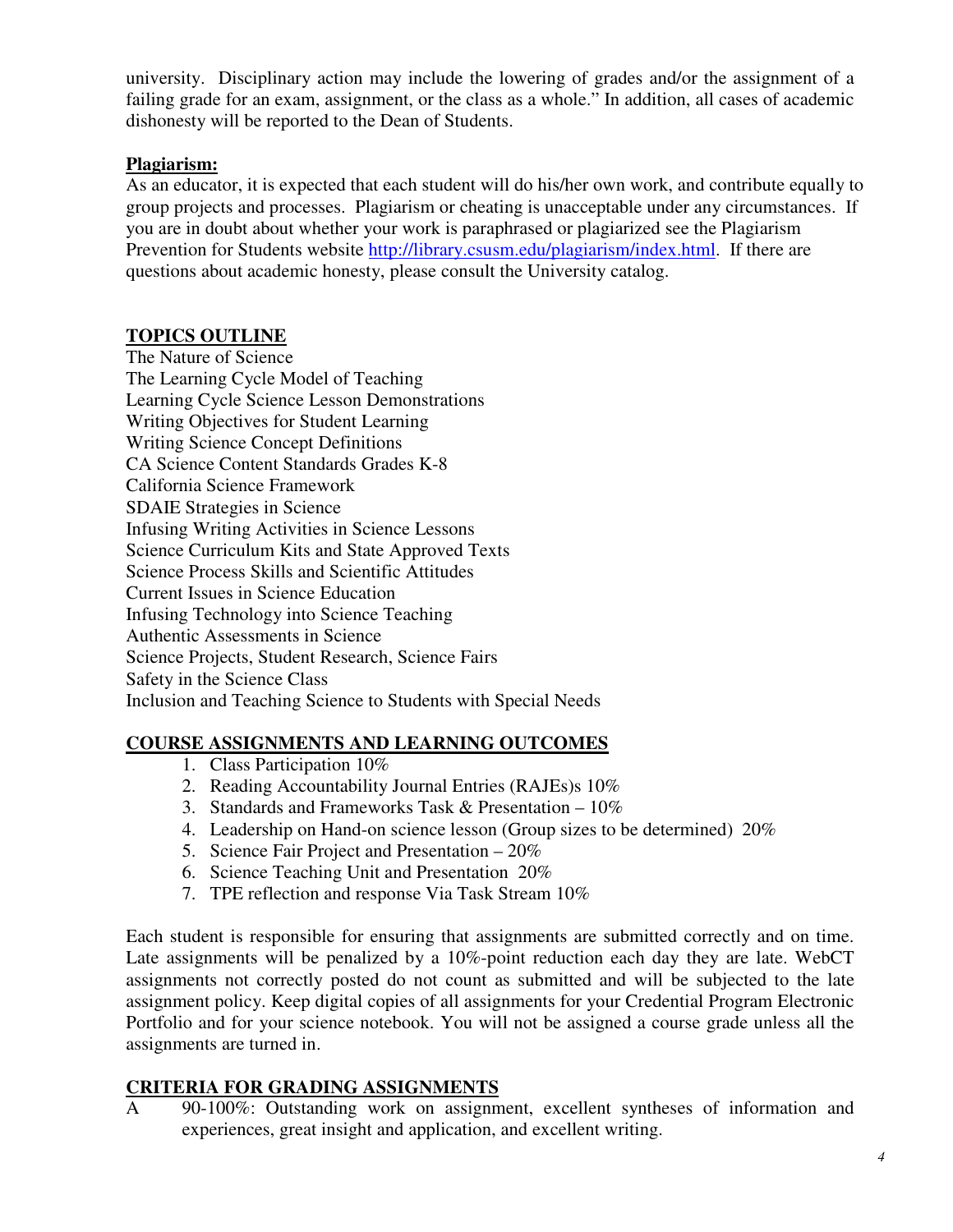university. Disciplinary action may include the lowering of grades and/or the assignment of a failing grade for an exam, assignment, or the class as a whole." In addition, all cases of academic dishonesty will be reported to the Dean of Students.

## **Plagiarism:**

As an educator, it is expected that each student will do his/her own work, and contribute equally to group projects and processes. Plagiarism or cheating is unacceptable under any circumstances. If you are in doubt about whether your work is paraphrased or plagiarized see the Plagiarism Prevention for Students website http://library.csusm.edu/plagiarism/index.html. If there are questions about academic honesty, please consult the University catalog.

## **TOPICS OUTLINE**

The Nature of Science The Learning Cycle Model of Teaching Learning Cycle Science Lesson Demonstrations Writing Objectives for Student Learning Writing Science Concept Definitions CA Science Content Standards Grades K-8 California Science Framework SDAIE Strategies in Science Infusing Writing Activities in Science Lessons Science Curriculum Kits and State Approved Texts Science Process Skills and Scientific Attitudes Current Issues in Science Education Infusing Technology into Science Teaching Authentic Assessments in Science Science Projects, Student Research, Science Fairs Safety in the Science Class Inclusion and Teaching Science to Students with Special Needs

## **COURSE ASSIGNMENTS AND LEARNING OUTCOMES**

- 1. Class Participation 10%
- 2. Reading Accountability Journal Entries (RAJEs)s 10%
- 3. Standards and Frameworks Task  $&$  Presentation 10%
- 4. Leadership on Hand-on science lesson (Group sizes to be determined) 20%
- 5. Science Fair Project and Presentation 20%
- 6. Science Teaching Unit and Presentation 20%
- 7. TPE reflection and response Via Task Stream 10%

Each student is responsible for ensuring that assignments are submitted correctly and on time. Late assignments will be penalized by a 10%-point reduction each day they are late. WebCT assignments not correctly posted do not count as submitted and will be subjected to the late assignment policy. Keep digital copies of all assignments for your Credential Program Electronic Portfolio and for your science notebook. You will not be assigned a course grade unless all the assignments are turned in.

## **CRITERIA FOR GRADING ASSIGNMENTS**

A 90-100%: Outstanding work on assignment, excellent syntheses of information and experiences, great insight and application, and excellent writing.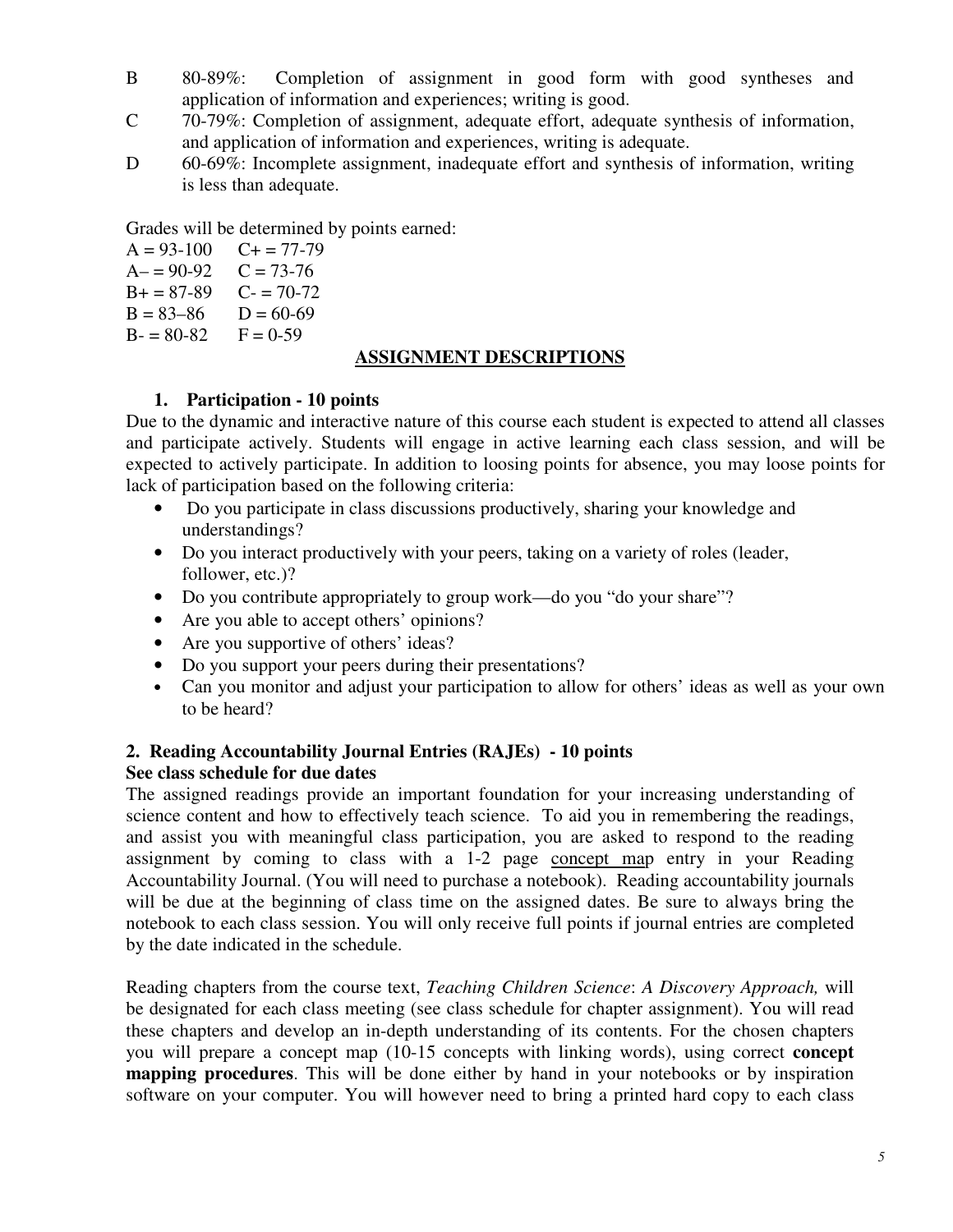- B 80-89%: Completion of assignment in good form with good syntheses and application of information and experiences; writing is good.
- C 70-79%: Completion of assignment, adequate effort, adequate synthesis of information, and application of information and experiences, writing is adequate.
- D 60-69%: Incomplete assignment, inadequate effort and synthesis of information, writing is less than adequate.

Grades will be determined by points earned:

 $A = 93-100$   $C+ = 77-79$ <br> $A- = 90-92$   $C = 73-76$  $A = 90-92$  $B+=87-89$  C- = 70-72  $B = 83-86$   $D = 60-69$  $B = 80-82$   $F = 0-59$ 

#### **ASSIGNMENT DESCRIPTIONS**

## **1. Participation - 10 points**

Due to the dynamic and interactive nature of this course each student is expected to attend all classes and participate actively. Students will engage in active learning each class session, and will be expected to actively participate. In addition to loosing points for absence, you may loose points for lack of participation based on the following criteria:

- Do you participate in class discussions productively, sharing your knowledge and understandings?
- Do you interact productively with your peers, taking on a variety of roles (leader, follower, etc.)?
- Do you contribute appropriately to group work—do you "do your share"?
- Are you able to accept others' opinions?
- Are you supportive of others' ideas?
- Do you support your peers during their presentations?
- Can you monitor and adjust your participation to allow for others' ideas as well as your own to be heard?

#### **2. Reading Accountability Journal Entries (RAJEs) - 10 points See class schedule for due dates**

The assigned readings provide an important foundation for your increasing understanding of science content and how to effectively teach science. To aid you in remembering the readings, and assist you with meaningful class participation, you are asked to respond to the reading assignment by coming to class with a 1-2 page concept map entry in your Reading Accountability Journal. (You will need to purchase a notebook). Reading accountability journals will be due at the beginning of class time on the assigned dates. Be sure to always bring the notebook to each class session. You will only receive full points if journal entries are completed by the date indicated in the schedule.

Reading chapters from the course text, *Teaching Children Science*: *A Discovery Approach,* will be designated for each class meeting (see class schedule for chapter assignment). You will read these chapters and develop an in-depth understanding of its contents. For the chosen chapters you will prepare a concept map (10-15 concepts with linking words), using correct **concept mapping procedures**. This will be done either by hand in your notebooks or by inspiration software on your computer. You will however need to bring a printed hard copy to each class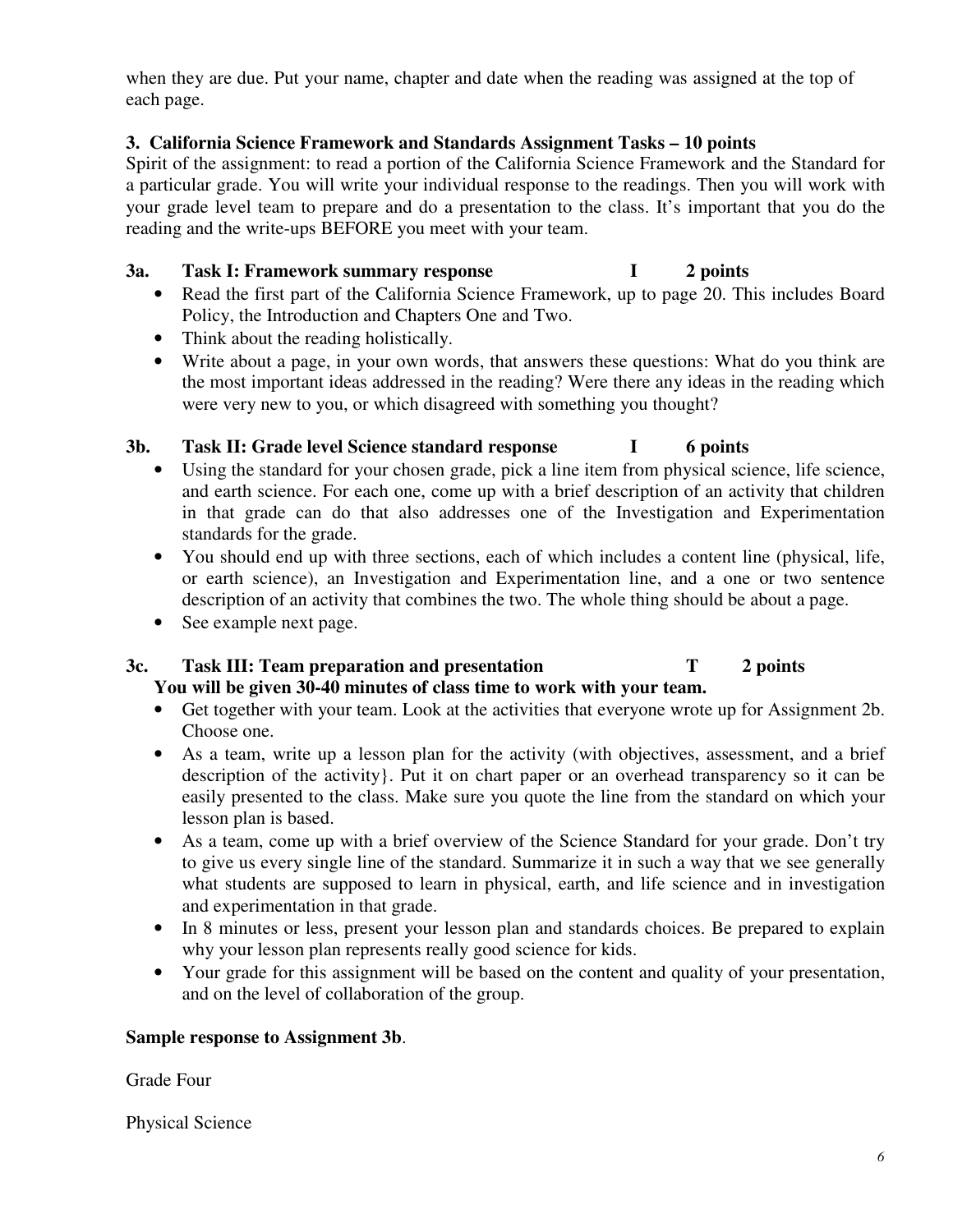when they are due. Put your name, chapter and date when the reading was assigned at the top of each page.

## **3. California Science Framework and Standards Assignment Tasks – 10 points**

Spirit of the assignment: to read a portion of the California Science Framework and the Standard for a particular grade. You will write your individual response to the readings. Then you will work with your grade level team to prepare and do a presentation to the class. It's important that you do the reading and the write-ups BEFORE you meet with your team.

#### **3a. Task I: Framework summary response I 2 points**

- Read the first part of the California Science Framework, up to page 20. This includes Board Policy, the Introduction and Chapters One and Two.
- Think about the reading holistically.
- Write about a page, in your own words, that answers these questions: What do you think are the most important ideas addressed in the reading? Were there any ideas in the reading which were very new to you, or which disagreed with something you thought?

#### **3b. Task II: Grade level Science standard response I 6 points**

- Using the standard for your chosen grade, pick a line item from physical science, life science, and earth science. For each one, come up with a brief description of an activity that children in that grade can do that also addresses one of the Investigation and Experimentation standards for the grade.
- You should end up with three sections, each of which includes a content line (physical, life, or earth science), an Investigation and Experimentation line, and a one or two sentence description of an activity that combines the two. The whole thing should be about a page.
- See example next page.

#### **3c. Task III: Team preparation and presentation T 2 points You will be given 30-40 minutes of class time to work with your team.**

- Get together with your team. Look at the activities that everyone wrote up for Assignment 2b. Choose one.
- As a team, write up a lesson plan for the activity (with objectives, assessment, and a brief description of the activity}. Put it on chart paper or an overhead transparency so it can be easily presented to the class. Make sure you quote the line from the standard on which your lesson plan is based.
- As a team, come up with a brief overview of the Science Standard for your grade. Don't try to give us every single line of the standard. Summarize it in such a way that we see generally what students are supposed to learn in physical, earth, and life science and in investigation and experimentation in that grade.
- In 8 minutes or less, present your lesson plan and standards choices. Be prepared to explain why your lesson plan represents really good science for kids.
- Your grade for this assignment will be based on the content and quality of your presentation, and on the level of collaboration of the group.

#### **Sample response to Assignment 3b**.

Grade Four

Physical Science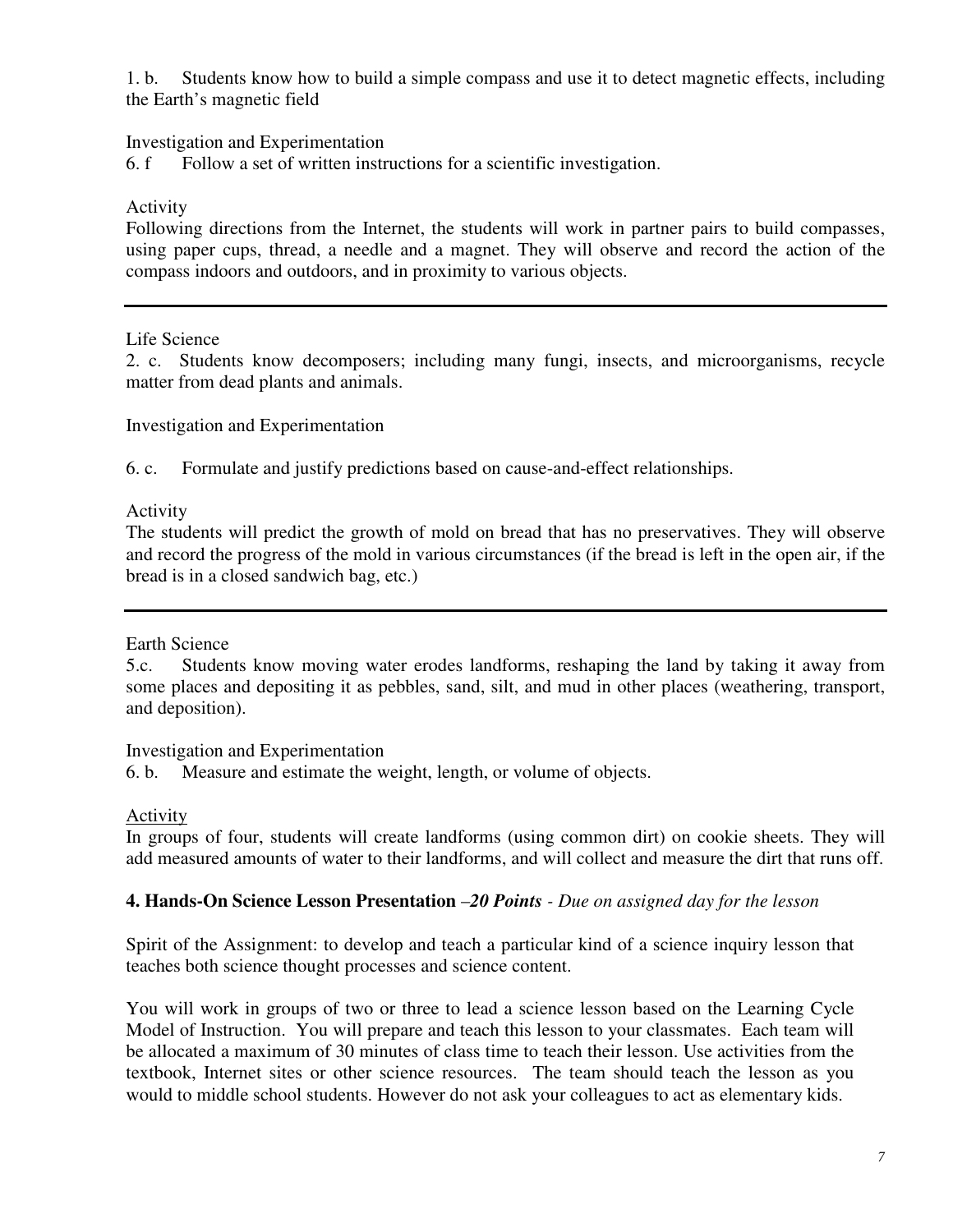1. b. Students know how to build a simple compass and use it to detect magnetic effects, including the Earth's magnetic field

#### Investigation and Experimentation

6. f Follow a set of written instructions for a scientific investigation.

#### Activity

Following directions from the Internet, the students will work in partner pairs to build compasses, using paper cups, thread, a needle and a magnet. They will observe and record the action of the compass indoors and outdoors, and in proximity to various objects.

#### Life Science

2. c. Students know decomposers; including many fungi, insects, and microorganisms, recycle matter from dead plants and animals.

Investigation and Experimentation

6. c. Formulate and justify predictions based on cause-and-effect relationships.

Activity

The students will predict the growth of mold on bread that has no preservatives. They will observe and record the progress of the mold in various circumstances (if the bread is left in the open air, if the bread is in a closed sandwich bag, etc.)

#### Earth Science

5.c. Students know moving water erodes landforms, reshaping the land by taking it away from some places and depositing it as pebbles, sand, silt, and mud in other places (weathering, transport, and deposition).

#### Investigation and Experimentation

6. b. Measure and estimate the weight, length, or volume of objects.

#### Activity

In groups of four, students will create landforms (using common dirt) on cookie sheets. They will add measured amounts of water to their landforms, and will collect and measure the dirt that runs off.

#### **4. Hands-On Science Lesson Presentation** –*20 Points - Due on assigned day for the lesson*

Spirit of the Assignment: to develop and teach a particular kind of a science inquiry lesson that teaches both science thought processes and science content.

You will work in groups of two or three to lead a science lesson based on the Learning Cycle Model of Instruction. You will prepare and teach this lesson to your classmates. Each team will be allocated a maximum of 30 minutes of class time to teach their lesson. Use activities from the textbook, Internet sites or other science resources. The team should teach the lesson as you would to middle school students. However do not ask your colleagues to act as elementary kids.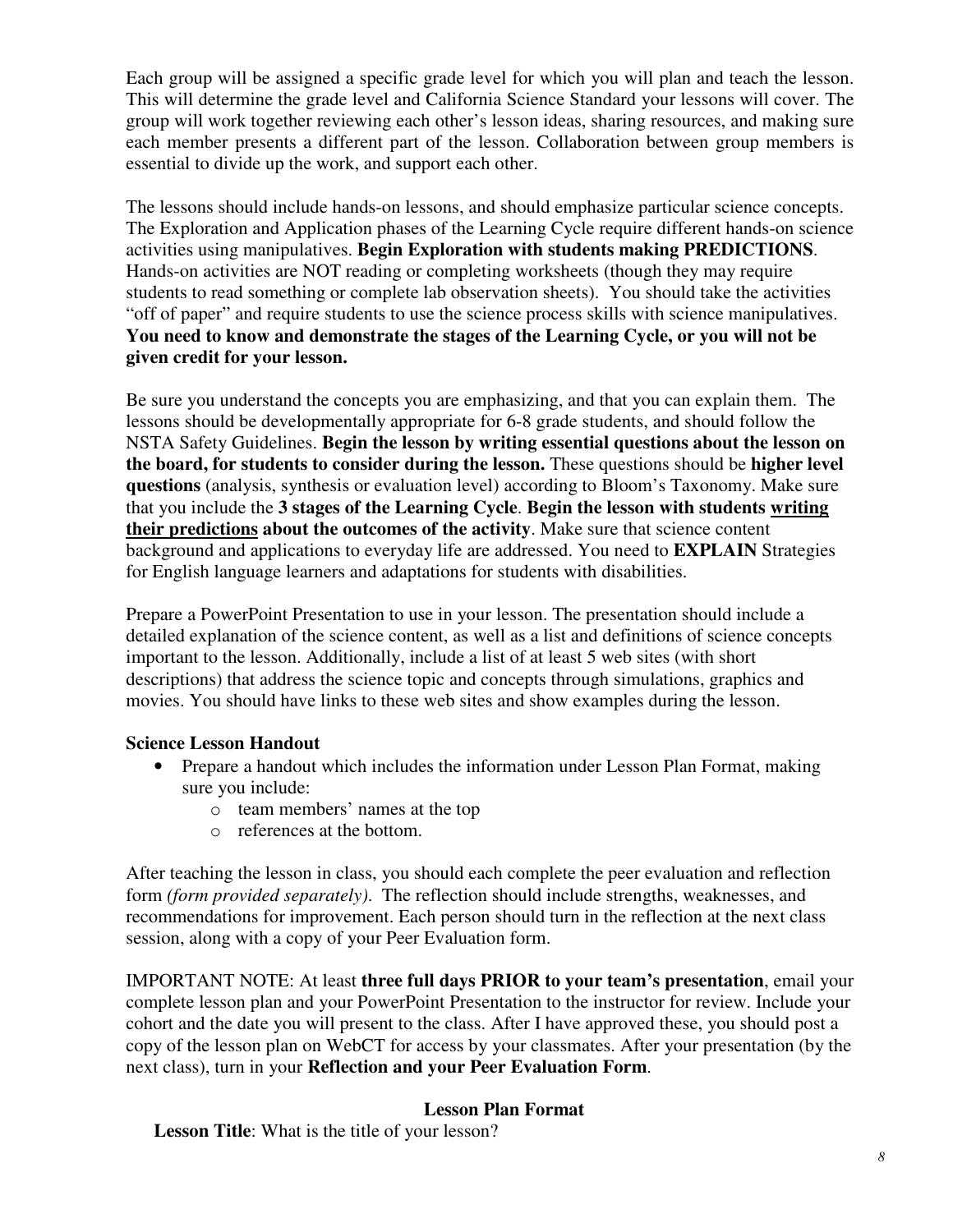Each group will be assigned a specific grade level for which you will plan and teach the lesson. This will determine the grade level and California Science Standard your lessons will cover. The group will work together reviewing each other's lesson ideas, sharing resources, and making sure each member presents a different part of the lesson. Collaboration between group members is essential to divide up the work, and support each other.

The lessons should include hands-on lessons, and should emphasize particular science concepts. The Exploration and Application phases of the Learning Cycle require different hands-on science activities using manipulatives. **Begin Exploration with students making PREDICTIONS**. Hands-on activities are NOT reading or completing worksheets (though they may require students to read something or complete lab observation sheets). You should take the activities "off of paper" and require students to use the science process skills with science manipulatives. **You need to know and demonstrate the stages of the Learning Cycle, or you will not be given credit for your lesson.**

Be sure you understand the concepts you are emphasizing, and that you can explain them. The lessons should be developmentally appropriate for 6-8 grade students, and should follow the NSTA Safety Guidelines. **Begin the lesson by writing essential questions about the lesson on the board, for students to consider during the lesson.** These questions should be **higher level questions** (analysis, synthesis or evaluation level) according to Bloom's Taxonomy. Make sure that you include the **3 stages of the Learning Cycle**. **Begin the lesson with students writing their predictions about the outcomes of the activity**. Make sure that science content background and applications to everyday life are addressed. You need to **EXPLAIN** Strategies for English language learners and adaptations for students with disabilities.

Prepare a PowerPoint Presentation to use in your lesson. The presentation should include a detailed explanation of the science content, as well as a list and definitions of science concepts important to the lesson. Additionally, include a list of at least 5 web sites (with short descriptions) that address the science topic and concepts through simulations, graphics and movies. You should have links to these web sites and show examples during the lesson.

## **Science Lesson Handout**

- Prepare a handout which includes the information under Lesson Plan Format, making sure you include:
	- o team members' names at the top
	- o references at the bottom.

After teaching the lesson in class, you should each complete the peer evaluation and reflection form *(form provided separately)*. The reflection should include strengths, weaknesses, and recommendations for improvement. Each person should turn in the reflection at the next class session, along with a copy of your Peer Evaluation form.

IMPORTANT NOTE: At least **three full days PRIOR to your team's presentation**, email your complete lesson plan and your PowerPoint Presentation to the instructor for review. Include your cohort and the date you will present to the class. After I have approved these, you should post a copy of the lesson plan on WebCT for access by your classmates. After your presentation (by the next class), turn in your **Reflection and your Peer Evaluation Form**.

## **Lesson Plan Format**

**Lesson Title**: What is the title of your lesson?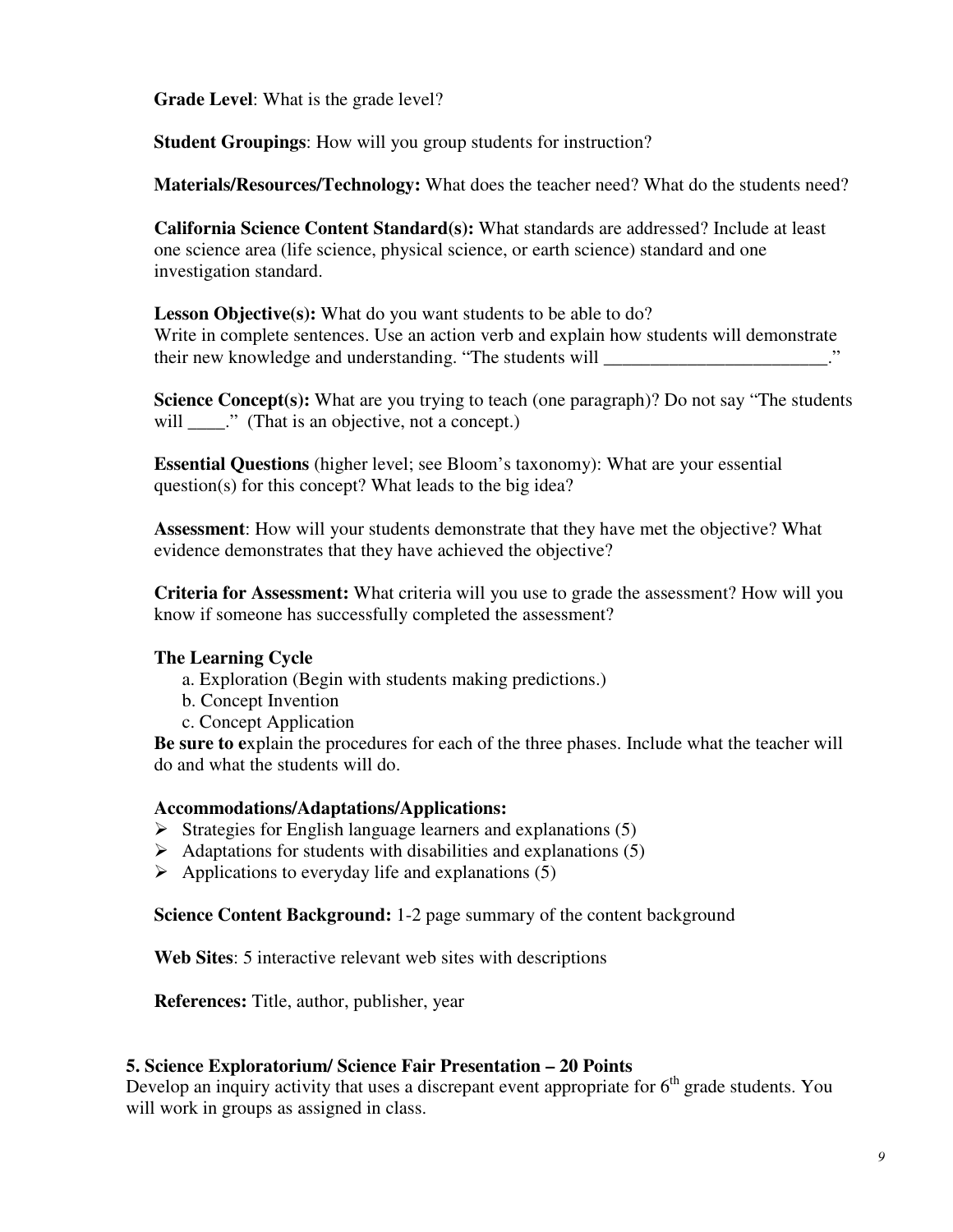**Grade Level**: What is the grade level?

**Student Groupings**: How will you group students for instruction?

**Materials/Resources/Technology:** What does the teacher need? What do the students need?

**California Science Content Standard(s):** What standards are addressed? Include at least one science area (life science, physical science, or earth science) standard and one investigation standard.

Lesson Objective(s): What do you want students to be able to do? Write in complete sentences. Use an action verb and explain how students will demonstrate their new knowledge and understanding. "The students will  $\ddot{\hspace{1cm}}$ 

**Science Concept(s):** What are you trying to teach (one paragraph)? Do not say "The students will  $\cdots$  (That is an objective, not a concept.)

**Essential Questions** (higher level; see Bloom's taxonomy): What are your essential question(s) for this concept? What leads to the big idea?

**Assessment**: How will your students demonstrate that they have met the objective? What evidence demonstrates that they have achieved the objective?

**Criteria for Assessment:** What criteria will you use to grade the assessment? How will you know if someone has successfully completed the assessment?

## **The Learning Cycle**

- a. Exploration (Begin with students making predictions.)
- b. Concept Invention
- c. Concept Application

**Be sure to e**xplain the procedures for each of the three phases. Include what the teacher will do and what the students will do.

#### **Accommodations/Adaptations/Applications:**

- $\triangleright$  Strategies for English language learners and explanations (5)
- $\triangleright$  Adaptations for students with disabilities and explanations (5)
- $\triangleright$  Applications to everyday life and explanations (5)

**Science Content Background:** 1-2 page summary of the content background

**Web Sites**: 5 interactive relevant web sites with descriptions

**References:** Title, author, publisher, year

#### **5. Science Exploratorium/ Science Fair Presentation – 20 Points**

Develop an inquiry activity that uses a discrepant event appropriate for  $6<sup>th</sup>$  grade students. You will work in groups as assigned in class.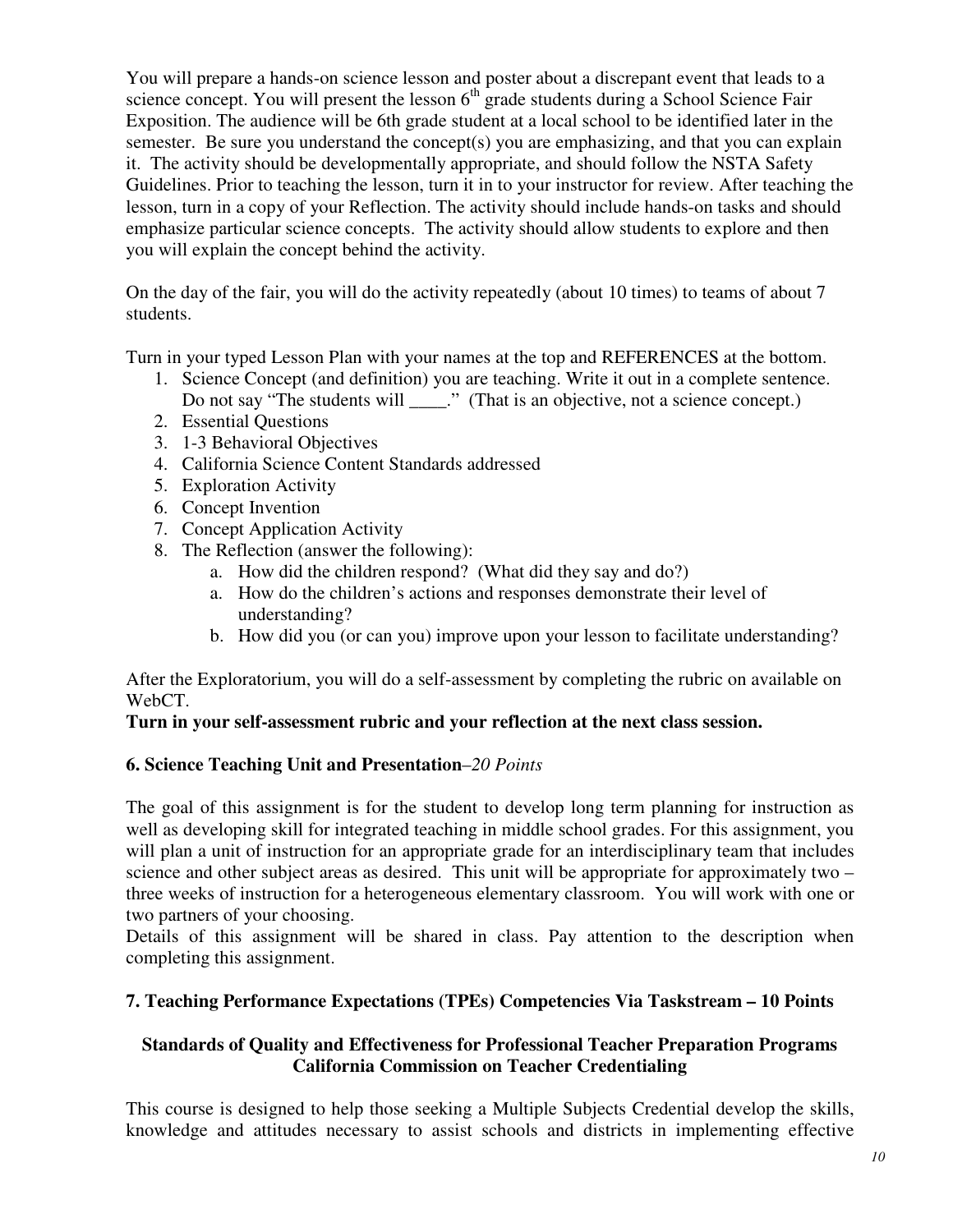You will prepare a hands-on science lesson and poster about a discrepant event that leads to a science concept. You will present the lesson  $6<sup>th</sup>$  grade students during a School Science Fair Exposition. The audience will be 6th grade student at a local school to be identified later in the semester. Be sure you understand the concept(s) you are emphasizing, and that you can explain it. The activity should be developmentally appropriate, and should follow the NSTA Safety Guidelines. Prior to teaching the lesson, turn it in to your instructor for review. After teaching the lesson, turn in a copy of your Reflection. The activity should include hands-on tasks and should emphasize particular science concepts. The activity should allow students to explore and then you will explain the concept behind the activity.

On the day of the fair, you will do the activity repeatedly (about 10 times) to teams of about 7 students.

Turn in your typed Lesson Plan with your names at the top and REFERENCES at the bottom.

- 1. Science Concept (and definition) you are teaching. Write it out in a complete sentence. Do not say "The students will \_\_\_\_." (That is an objective, not a science concept.)
- 2. Essential Questions
- 3. 1-3 Behavioral Objectives
- 4. California Science Content Standards addressed
- 5. Exploration Activity
- 6. Concept Invention
- 7. Concept Application Activity
- 8. The Reflection (answer the following):
	- a. How did the children respond? (What did they say and do?)
	- a. How do the children's actions and responses demonstrate their level of understanding?
	- b. How did you (or can you) improve upon your lesson to facilitate understanding?

After the Exploratorium, you will do a self-assessment by completing the rubric on available on WebCT.

## **Turn in your self-assessment rubric and your reflection at the next class session.**

## **6. Science Teaching Unit and Presentation**–*20 Points*

The goal of this assignment is for the student to develop long term planning for instruction as well as developing skill for integrated teaching in middle school grades. For this assignment, you will plan a unit of instruction for an appropriate grade for an interdisciplinary team that includes science and other subject areas as desired. This unit will be appropriate for approximately two – three weeks of instruction for a heterogeneous elementary classroom. You will work with one or two partners of your choosing.

Details of this assignment will be shared in class. Pay attention to the description when completing this assignment.

## **7. Teaching Performance Expectations (TPEs) Competencies Via Taskstream – 10 Points**

## **Standards of Quality and Effectiveness for Professional Teacher Preparation Programs California Commission on Teacher Credentialing**

This course is designed to help those seeking a Multiple Subjects Credential develop the skills, knowledge and attitudes necessary to assist schools and districts in implementing effective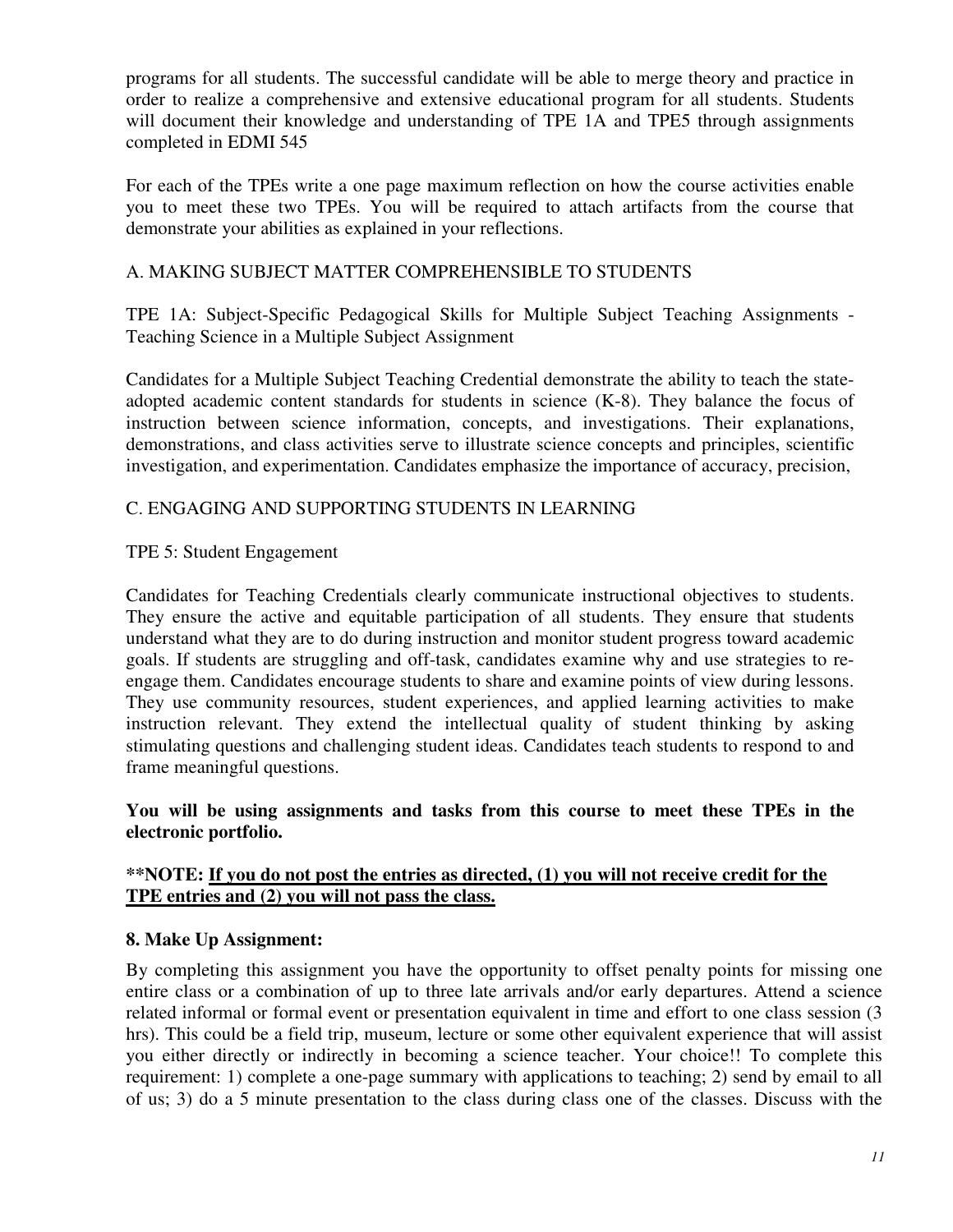programs for all students. The successful candidate will be able to merge theory and practice in order to realize a comprehensive and extensive educational program for all students. Students will document their knowledge and understanding of TPE 1A and TPE5 through assignments completed in EDMI 545

For each of the TPEs write a one page maximum reflection on how the course activities enable you to meet these two TPEs. You will be required to attach artifacts from the course that demonstrate your abilities as explained in your reflections.

## A. MAKING SUBJECT MATTER COMPREHENSIBLE TO STUDENTS

TPE 1A: Subject-Specific Pedagogical Skills for Multiple Subject Teaching Assignments - Teaching Science in a Multiple Subject Assignment

Candidates for a Multiple Subject Teaching Credential demonstrate the ability to teach the stateadopted academic content standards for students in science (K-8). They balance the focus of instruction between science information, concepts, and investigations. Their explanations, demonstrations, and class activities serve to illustrate science concepts and principles, scientific investigation, and experimentation. Candidates emphasize the importance of accuracy, precision,

## C. ENGAGING AND SUPPORTING STUDENTS IN LEARNING

## TPE 5: Student Engagement

Candidates for Teaching Credentials clearly communicate instructional objectives to students. They ensure the active and equitable participation of all students. They ensure that students understand what they are to do during instruction and monitor student progress toward academic goals. If students are struggling and off-task, candidates examine why and use strategies to reengage them. Candidates encourage students to share and examine points of view during lessons. They use community resources, student experiences, and applied learning activities to make instruction relevant. They extend the intellectual quality of student thinking by asking stimulating questions and challenging student ideas. Candidates teach students to respond to and frame meaningful questions.

**You will be using assignments and tasks from this course to meet these TPEs in the electronic portfolio.** 

## **\*\*NOTE: If you do not post the entries as directed, (1) you will not receive credit for the TPE entries and (2) you will not pass the class.**

## **8. Make Up Assignment:**

By completing this assignment you have the opportunity to offset penalty points for missing one entire class or a combination of up to three late arrivals and/or early departures. Attend a science related informal or formal event or presentation equivalent in time and effort to one class session (3 hrs). This could be a field trip, museum, lecture or some other equivalent experience that will assist you either directly or indirectly in becoming a science teacher. Your choice!! To complete this requirement: 1) complete a one-page summary with applications to teaching; 2) send by email to all of us; 3) do a 5 minute presentation to the class during class one of the classes. Discuss with the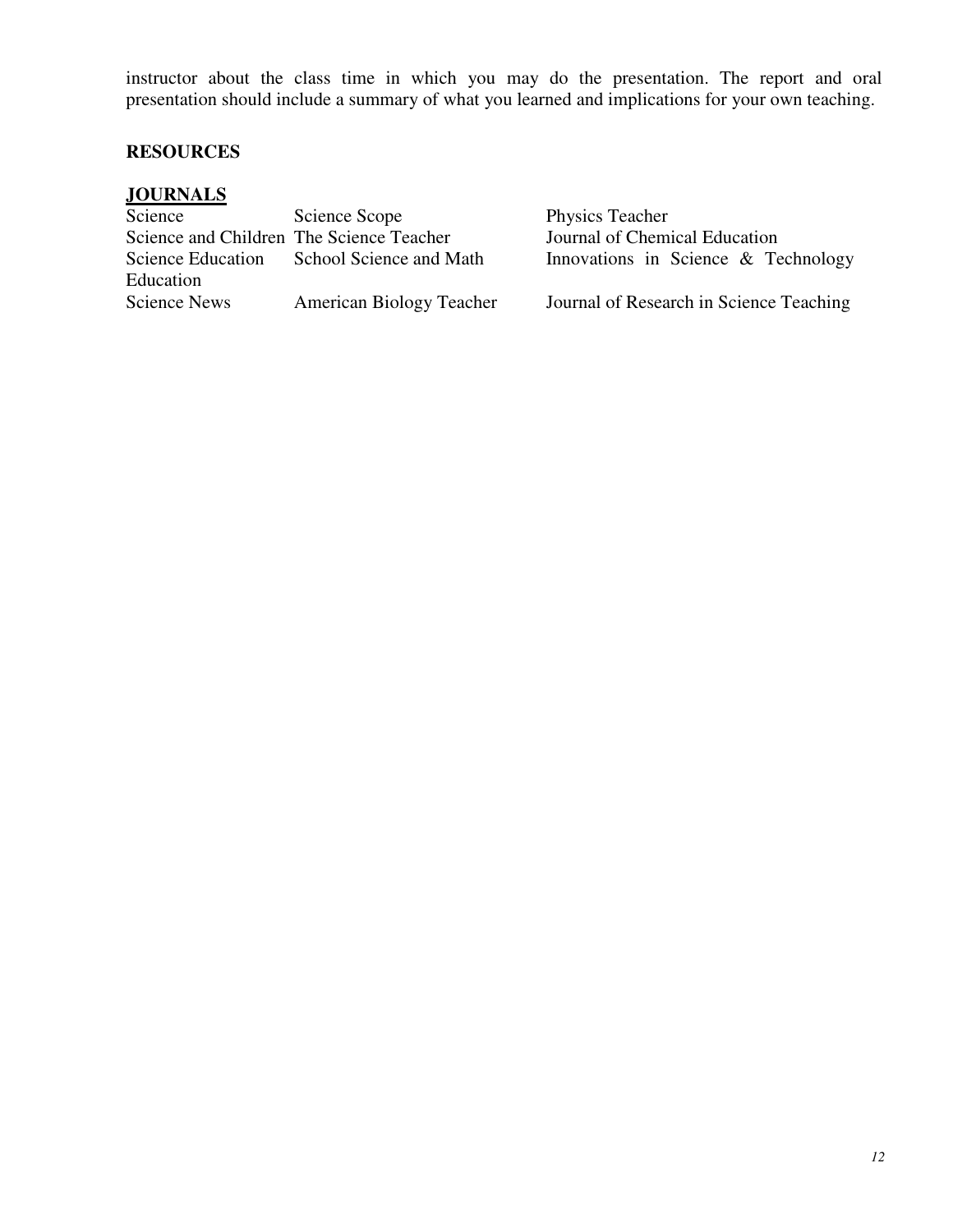instructor about the class time in which you may do the presentation. The report and oral presentation should include a summary of what you learned and implications for your own teaching.

## **RESOURCES**

| <b>JOURNALS</b>          |                                          |                                         |
|--------------------------|------------------------------------------|-----------------------------------------|
| Science                  | Science Scope                            | Physics Teacher                         |
|                          | Science and Children The Science Teacher | Journal of Chemical Education           |
| <b>Science Education</b> | School Science and Math                  | Innovations in Science & Technology     |
| Education                |                                          |                                         |
| Science News             | American Biology Teacher                 | Journal of Research in Science Teaching |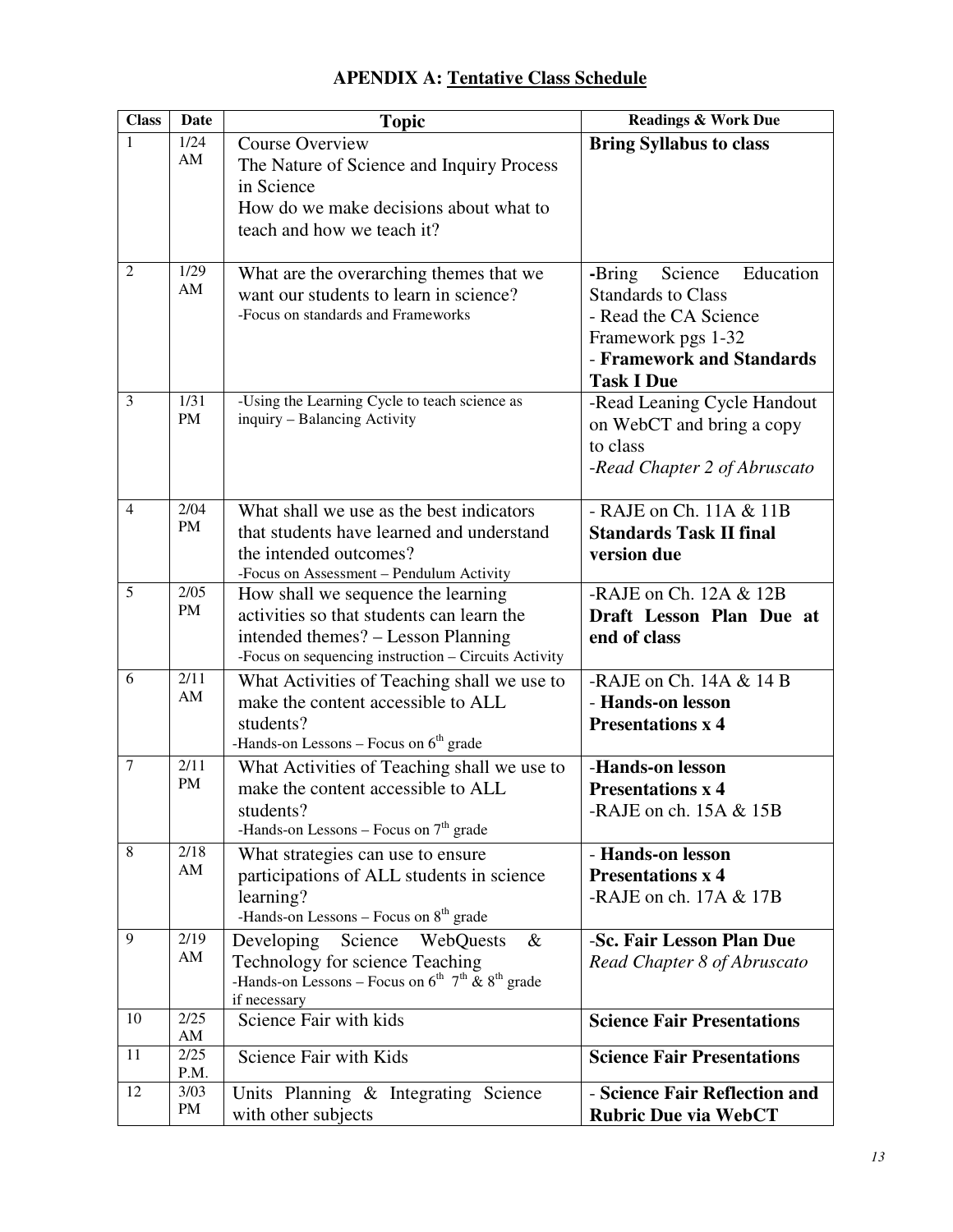| <b>Class</b>            | Date              | <b>Topic</b>                                                           | <b>Readings &amp; Work Due</b>    |
|-------------------------|-------------------|------------------------------------------------------------------------|-----------------------------------|
| 1                       | 1/24              | <b>Course Overview</b>                                                 | <b>Bring Syllabus to class</b>    |
|                         | AM                | The Nature of Science and Inquiry Process                              |                                   |
|                         |                   | in Science                                                             |                                   |
|                         |                   | How do we make decisions about what to                                 |                                   |
|                         |                   | teach and how we teach it?                                             |                                   |
|                         |                   |                                                                        |                                   |
| $\overline{2}$          | 1/29              | What are the overarching themes that we                                | Science<br>Education<br>-Bring    |
|                         | AM                | want our students to learn in science?                                 | <b>Standards to Class</b>         |
|                         |                   | -Focus on standards and Frameworks                                     | - Read the CA Science             |
|                         |                   |                                                                        | Framework pgs 1-32                |
|                         |                   |                                                                        | - Framework and Standards         |
|                         |                   |                                                                        | <b>Task I Due</b>                 |
| $\overline{\mathbf{3}}$ | 1/31              | -Using the Learning Cycle to teach science as                          | -Read Leaning Cycle Handout       |
|                         | <b>PM</b>         | inquiry - Balancing Activity                                           | on WebCT and bring a copy         |
|                         |                   |                                                                        | to class                          |
|                         |                   |                                                                        | -Read Chapter 2 of Abruscato      |
|                         |                   |                                                                        |                                   |
| $\overline{4}$          | 2/04              | What shall we use as the best indicators                               | - RAJE on Ch. 11A & 11B           |
|                         | PM                | that students have learned and understand                              | <b>Standards Task II final</b>    |
|                         |                   | the intended outcomes?                                                 | version due                       |
| 5                       |                   | -Focus on Assessment - Pendulum Activity                               |                                   |
|                         | 2/05<br><b>PM</b> | How shall we sequence the learning                                     | -RAJE on Ch. 12A & 12B            |
|                         |                   | activities so that students can learn the                              | Draft Lesson Plan Due at          |
|                         |                   | intended themes? – Lesson Planning                                     | end of class                      |
|                         | 2/11              | -Focus on sequencing instruction - Circuits Activity                   |                                   |
| 6                       | AM                | What Activities of Teaching shall we use to                            | -RAJE on Ch. $14A & 14B$          |
|                         |                   | make the content accessible to ALL                                     | - Hands-on lesson                 |
|                         |                   | students?<br>-Hands-on Lessons – Focus on $6th$ grade                  | <b>Presentations x 4</b>          |
| $\tau$                  | 2/11              |                                                                        | -Hands-on lesson                  |
|                         | <b>PM</b>         | What Activities of Teaching shall we use to                            |                                   |
|                         |                   | make the content accessible to ALL                                     | <b>Presentations x 4</b>          |
|                         |                   | students?<br>-Hands-on Lessons – Focus on $7th$ grade                  | -RAJE on ch. $15A & 15B$          |
| $\,8\,$                 | 2/18              | What strategies can use to ensure                                      | - Hands-on lesson                 |
|                         | AM                | participations of ALL students in science                              | <b>Presentations x 4</b>          |
|                         |                   | learning?                                                              | -RAJE on ch. $17A & 17B$          |
|                         |                   | -Hands-on Lessons - Focus on 8 <sup>th</sup> grade                     |                                   |
| 9                       | 2/19              | Developing<br>Science<br>WebQuests<br>$\&$                             | -Sc. Fair Lesson Plan Due         |
|                         | AM                | Technology for science Teaching                                        | Read Chapter 8 of Abruscato       |
|                         |                   | -Hands-on Lessons – Focus on $6^{th}$ 7 <sup>th</sup> & $8^{th}$ grade |                                   |
|                         |                   | if necessary                                                           |                                   |
| 10                      | 2/25              | Science Fair with kids                                                 | <b>Science Fair Presentations</b> |
|                         | AM                |                                                                        |                                   |
| 11                      | 2/25<br>P.M.      | Science Fair with Kids                                                 | <b>Science Fair Presentations</b> |
| 12                      | 3/03              | Units Planning & Integrating Science                                   | - Science Fair Reflection and     |
|                         | PM                | with other subjects                                                    | <b>Rubric Due via WebCT</b>       |

# **APENDIX A: Tentative Class Schedule**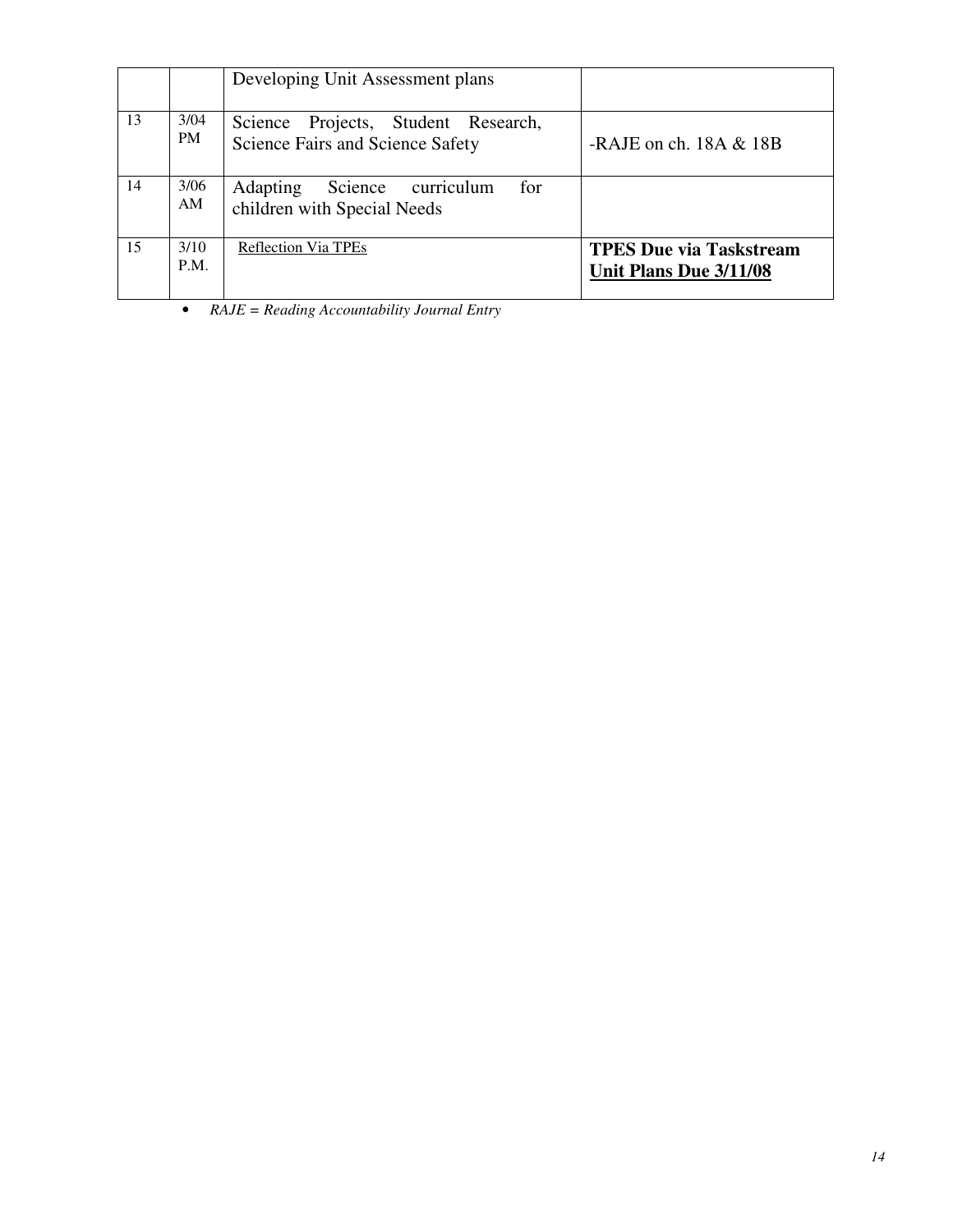|    |                   | Developing Unit Assessment plans                                               |                                                          |
|----|-------------------|--------------------------------------------------------------------------------|----------------------------------------------------------|
| 13 | 3/04<br><b>PM</b> | Science Projects, Student Research,<br>Science Fairs and Science Safety        | -RAJE on ch. $18A & 18B$                                 |
| 14 | 3/06<br>AM        | Science<br><b>Adapting</b><br>for<br>curriculum<br>children with Special Needs |                                                          |
| 15 | 3/10<br>P.M.      | <b>Reflection Via TPEs</b>                                                     | <b>TPES Due via Taskstream</b><br>Unit Plans Due 3/11/08 |

• *RAJE = Reading Accountability Journal Entry*